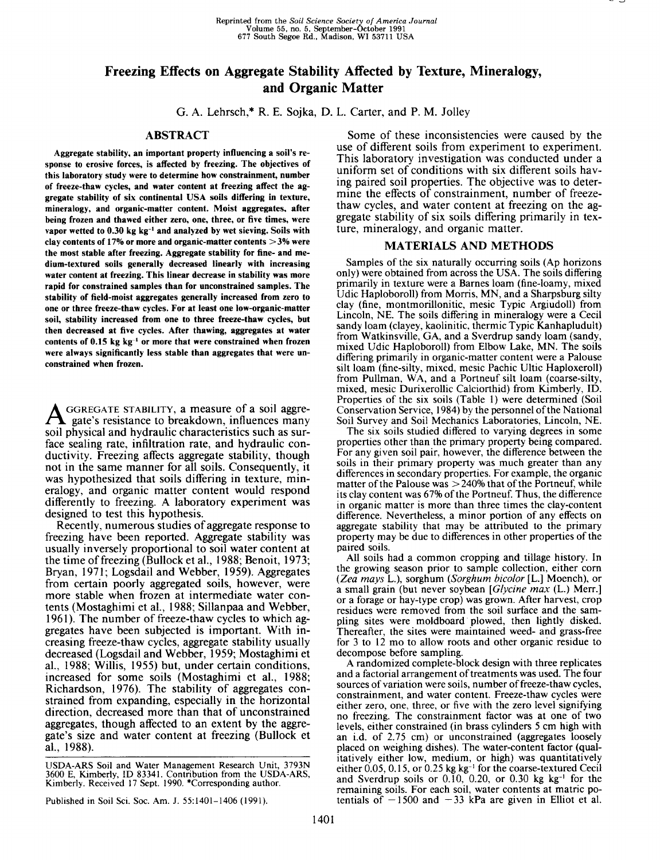# **Freezing Effects on Aggregate Stability Affected by Texture, Mineralogy, and Organic Matter**

G. A. Lehrsch,\* R. E. Sojka, D. L. Carter, and P. M. Jolley

# **ABSTRACT**

Aggregate stability, an important property influencing **a** soil's response to erosive forces, is affected by freezing. The objectives of this laboratory study were to determine how constrainment, number of freeze-thaw cycles, and water content at freezing affect the aggregate stability of six continental USA soils differing in texture, mineralogy, and organic-matter content. Moist aggregates, after being frozen and thawed either zero, one, three, or five times, were vapor wetted to 0.30 kg kg<sup>-1</sup> and analyzed by wet sieving. Soils with clay contents of 17% or more and organic-matter contents  $>$ 3% were the most stable after freezing. Aggregate stability for fine- and medium-textured soils generally decreased linearly with increasing water content at freezing. This linear decrease in stability was more rapid for constrained samples than for unconstrained samples. The stability of field-moist aggregates generally increased from zero to one or three freeze-thaw cycles. For at least one low-organic-matter soil, stability increased from one to three freeze-thaw cycles, but then decreased at five cycles. After thawing, aggregates at water contents of  $0.15 \text{ kg kg}^{-1}$  or more that were constrained when frozen were always significantly less stable than aggregates that were unconstrained when frozen.

A GGREGATE STABILITY, a measure of a soil aggregate's resistance to breakdown, influences many soil physical and hydraulic characteristics such as sur-GGREGATE STABILITY, a measure of a soil aggregate's resistance to breakdown, influences many face sealing rate, infiltration rate, and hydraulic conductivity. Freezing affects aggregate stability, though not in the same manner for all soils. Consequently, it was hypothesized that soils differing in texture, mineralogy, and organic matter content would respond differently to freezing. A laboratory experiment was designed to test this hypothesis.

Recently, numerous studies of aggregate response to freezing have been reported. Aggregate stability was usually inversely proportional to soil water content at the time of freezing (Bullock et al., 1988; Benoit, 1973; Bryan, 1971; Logsdail and Webber, 1959). Aggregates from certain poorly aggregated soils, however, were more stable when frozen at intermediate water contents (Mostaghimi et al., 1988; Sillanpaa and Webber, 1961). The number of freeze-thaw cycles to which aggregates have been subjected is important. With increasing freeze-thaw cycles, aggregate stability usually decreased (Logsdail and Webber, 1959; Mostaghimi et al., 1988; Willis, 1955) but, under certain conditions, increased for some soils (Mostaghimi et al., 1988; Richardson, 1976). The stability of aggregates constrained from expanding, especially in the horizontal direction, decreased more than that of unconstrained aggregates, though affected to an extent by the aggregate's size and water content at freezing (Bullock et al., 1988).

Some of these inconsistencies were caused by the use of different soils from experiment to experiment. This laboratory investigation was conducted under a uniform set of conditions with six different soils having paired soil properties. The objective was to determine the effects of constrainment, number of freezethaw cycles, and water content at freezing on the aggregate stability of six soils differing primarily in texture, mineralogy, and organic matter.

## **MATERIALS AND METHODS**

Samples of the six naturally occurring soils (Ap horizons only) were obtained from across the USA. The soils differing primarily in texture were a Barnes loam (fine-loamy, mixed Udic Haploboroll) from Morris, MN, and a Sharpsburg silty clay (fine, montmorillonitic, mesic Typic Argiudoll) from Lincoln, NE. The soils differing in mineralogy were a Cecil sandy loam (clayey, kaolinitic, thermic Typic Kanhapludult) from Watkinsville, GA, and a Sverdrup sandy loam (sandy, mixed Udic Haploboroll) from Elbow Lake, MN. The soils differing primarily in organic-matter content were a Palouse silt loam (fine-silty, mixed, mesic Pachic Ultic Haploxeroll) from Pullman, WA, and a Portneuf silt loam (coarse-silty, mixed, mesic Durixerollic Calciorthid) from Kimberly, ID. Properties of the six soils (Table 1) were determined (Soil Conservation Service, 1984) by the personnel of the National Soil Survey and Soil Mechanics Laboratories, Lincoln, NE.

The six soils studied differed to varying degrees in some properties other than the primary property being compared. For any given soil pair, however, the difference between the soils in their primary property was much greater than any differences in secondary properties. For example, the organic matter of the Palouse was  $>$  240% that of the Portneuf, while its clay content was 67% of the Portneuf. Thus, the difference in organic matter is more than three times the clay-content difference. Nevertheless, a minor portion of any effects on aggregate stability that may be attributed to the primary property may be due to differences in other properties of the paired soils.

All soils had a common cropping and tillage history. In the growing season prior to sample collection, either corn *(Zea mays* L.), sorghum *(Sorghum bicolor* [L.] Moench), or a small grain (but never soybean *[Glycine max* (L.) Merr.] or a forage or hay-type crop) was grown. After harvest, crop residues were removed from the soil surface and the sampling sites were moldboard plowed, then lightly disked. Thereafter, the sites were maintained weed- and grass-free for 3 to 12 mo to allow roots and other organic residue to decompose before sampling.

A randomized complete-block design with three replicates and a factorial arrangement of treatments was used. The four sources of variation were soils, number of freeze-thaw cycles, constrainment, and water content. Freeze-thaw cycles were either zero, one, three, or five with the zero level signifying no freezing. The constrainment factor was at one of two levels, either constrained (in brass cylinders 5 cm high with an i.d. of 2.75 cm) or unconstrained (aggregates loosely placed on weighing dishes). The water-content factor (qualitatively either low, medium, or high) was quantitatively either 0.05, 0.15, or 0.25 kg kg-' for the coarse-textured Cecil and Sverdrup soils or 0.10, 0.20, or 0.30 kg kg-' for the remaining soils. For each soil, water contents at matric potentials of  $-1500$  and  $-33$  kPa are given in Elliot et al.

Published in Soil Sci. Soc. Am. J. 55:1401-1406 (1991).

USDA-ARS Soil and Water Management Research Unit, 3793N 3600 E, Kimberly, ID 83341. Contribution from the USDA-ARS, Kimberly. Received 17 Sept. 1990. \*Corresponding author.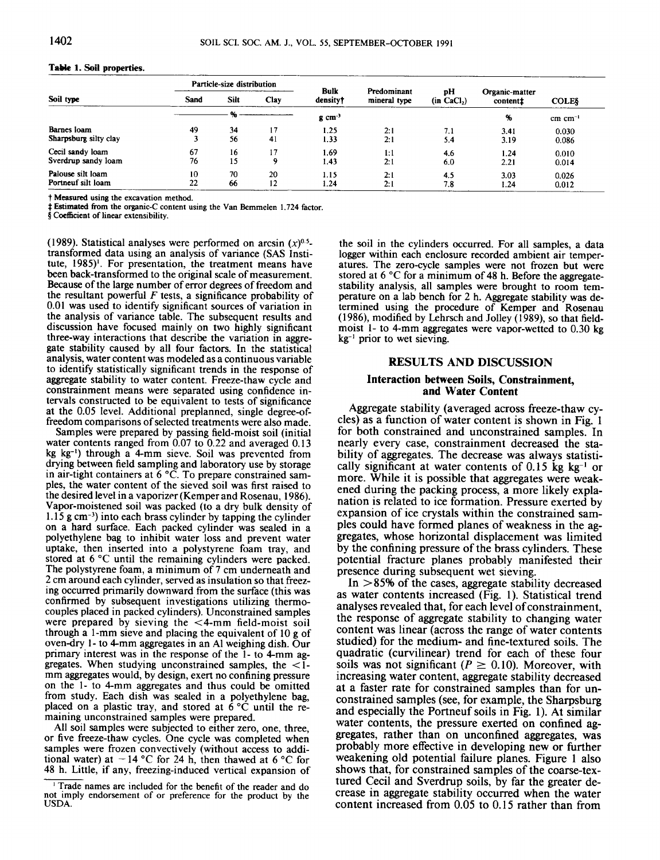#### **Table 1. Soil properties.**

| Soil type             | Particle-size distribution |             |      | <b>Bulk</b>           | Predominant  |                      |                            |                  |
|-----------------------|----------------------------|-------------|------|-----------------------|--------------|----------------------|----------------------------|------------------|
|                       | Sand                       | <b>Silt</b> | Clay | density†              | mineral type | рH<br>$(in$ $CaCl2)$ | Organic-matter<br>contenti | <b>COLE&amp;</b> |
|                       |                            |             |      | $g \, \text{cm}^{-3}$ |              |                      | %                          | $cm \ cm^{-1}$   |
| Barnes loam           | 49                         | 34          | 17   | 1.25                  | 2:1          | 7.1                  | 3.41                       | 0.030            |
| Sharpsburg silty clay |                            | 56          | 41   | 1.33                  | 2:1          | 5.4                  | 3.19                       | 0.086            |
| Cecil sandy loam      | 67                         | 16          | 17   | 1.69                  | 1:1          | 4.6                  | 1.24                       | 0.010            |
| Sverdrup sandy loam   | 76                         | 15          | 9    | 1.43                  | 2:1          | 6.0                  | 2.21                       | 0.014            |
| Palouse silt loam     | 10                         | 70          | 20   | 1.15                  | 2:1          | 4.5                  | 3.03                       | 0.026            |
| Portneuf silt loam    | 22                         | 66          | 12   | l.24                  | 2:1          | 7.8                  | 1.24                       | 0.012            |

t Measured using the excavation method.

 $\ddagger$  Estimated from the organic-C content using the Van Bemmelen 1.724 factor.

§ Coefficient of linear extensibility.

(1989). Statistical analyses were performed on arcsin  $(x)^{0.5-}$ transformed data using an analysis of variance (SAS Institute, 1985)'. For presentation, the treatment means have been back-transformed to the original scale of measurement. Because of the large number of error degrees of freedom and the resultant powerful  $F$  tests, a significance probability of 0.01 was used to identify significant sources of variation in the analysis of variance table. The subsequent results and discussion have focused mainly on two highly significant three-way interactions that describe the variation in aggregate stability caused by all four factors. In the statistical analysis, water content was modeled as a continuous variable to identify statistically significant trends in the response of aggregate stability to water content. Freeze-thaw cycle and constrainment means were separated using confidence intervals constructed to be equivalent to tests of significance at the 0.05 level. Additional preplanned, single degree-offreedom comparisons of selected treatments were also made.

Samples were prepared by passing field-moist soil (initial water contents ranged from 0.07 to 0.22 and averaged 0.13 kg kg-') through a 4-mm sieve. Soil was prevented from drying between field sampling and laboratory use by storage in air-tight containers at 6 °C. To prepare constrained samples, the water content of the sieved soil was first raised to the desired level in a vaporizer (Kemper and Rosenau, 1986). Vapor-moistened soil was packed (to a dry bulk density of  $1.15$  g cm<sup>-3</sup>) into each brass cylinder by tapping the cylinder on a hard surface. Each packed cylinder was sealed in a polyethylene bag to inhibit water loss and prevent water uptake, then inserted into a polystyrene foam tray, and stored at 6 °C until the remaining cylinders were packed. The polystyrene foam, a minimum of 7 cm underneath and 2 cm around each cylinder, served as insulation so that freezing occurred primarily downward from the surface (this was confirmed by subsequent investigations utilizing thermocouples placed in packed cylinders). Unconstrained samples were prepared by sieving the  $\leq$ 4-mm field-moist soil through a 1-mm sieve and placing the equivalent of 10 g of oven-dry 1- to 4-mm aggregates in an Al weighing dish. Our primary interest was in the response of the 1- to 4-mm aggregates. When studying unconstrained samples, the  $\lt$ 1mm aggregates would, by design, exert no confining pressure on the 1- to 4-mm aggregates and thus could be omitted from study. Each dish was sealed in a polyethylene bag, placed on a plastic tray, and stored at  $\bar{6}$  °C until the remaining unconstrained samples were prepared.

All soil samples were subjected to either zero, one, three, or five freeze-thaw cycles. One cycle was completed when samples were frozen convectively (without access to additional water) at  $-14$  °C for 24 h, then thawed at 6 °C for 48 h. Little, if any, freezing-induced vertical expansion of

the soil in the cylinders occurred. For all samples, a data logger within each enclosure recorded ambient air temperatures. The zero-cycle samples were not frozen but were stored at 6 °C for a minimum of 48 h. Before the aggregatestability analysis, all samples were brought to room temperature on a lab bench for 2 h. Aggregate stability was determined using the procedure of Kemper and Rosenau (1986), modified by Lehrsch and Jolley (1989), so that fieldmoist 1- to 4-mm aggregates were vapor-wetted to 0.30 kg kg-' prior to wet sieving.

# **RESULTS AND DISCUSSION**

### **Interaction between Soils, Constrainment, and Water Content**

Aggregate stability (averaged across freeze-thaw cycles) as a function of water content is shown in Fig. 1 for both constrained and unconstrained samples. In nearly every case, constrainment decreased the stability of aggregates. The decrease was always statistically significant at water contents of 0.15 kg kg-' or more. While it is possible that aggregates were weakened during the packing process, a more likely explanation is related to ice formation. Pressure exerted by expansion of ice crystals within the constrained samples could have formed planes of weakness in the aggregates, whose horizontal displacement was limited by the confining pressure of the brass cylinders. These potential fracture planes probably manifested their presence during subsequent wet sieving.

In  $>85\%$  of the cases, aggregate stability decreased as water contents increased (Fig. 1). Statistical trend analyses revealed that, for each level of constrainment, the response of aggregate stability to changing water content was linear (across the range of water contents studied) for the medium- and fine-textured soils. The quadratic (curvilinear) trend for each of these four soils was not significant  $(P \ge 0.10)$ . Moreover, with increasing water content, aggregate stability decreased at a faster rate for constrained samples than for unconstrained samples (see, for example, the Sharpsburg and especially the Portneuf soils in Fig. 1). At similar water contents, the pressure exerted on confined aggregates, rather than on unconfined aggregates, was probably more effective in developing new or further weakening old potential failure planes. Figure 1 also shows that, for constrained samples of the coarse-textured Cecil and Sverdrup soils, by far the greater decrease in aggregate stability occurred when the water content increased from 0.05 to 0.15 rather than from

<sup>&#</sup>x27; Trade names are included for the benefit of the reader and do not imply endorsement of or preference for the product by the USDA.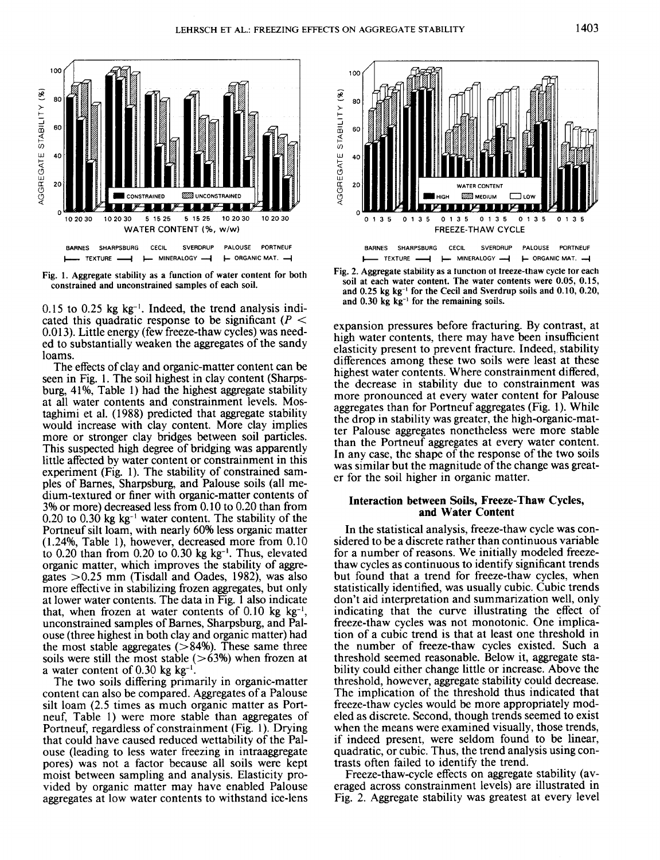

Fig. 1. Aggregate stability as a function of water content for both constrained and unconstrained samples of each soil.

 $0.15$  to  $0.25$  kg kg<sup>-1</sup>. Indeed, the trend analysis indicated this quadratic response to be significant *(P <* 0.013). Little energy (few freeze-thaw cycles) was needed to substantially weaken the aggregates of the sandy loams.

The effects of clay and organic-matter content can be seen in Fig. 1. The soil highest in clay content (Sharpsburg, 41%, Table 1) had the highest aggregate stability at all water contents and constrainment levels. Mostaghimi et al. (1988) predicted that aggregate stability would increase with clay content. More clay implies more or stronger clay bridges between soil particles. This suspected high degree of bridging was apparently little affected by water content or constrainment in this experiment (Fig. 1). The stability of constrained samples of Barnes, Sharpsburg, and Palouse soils (all medium-textured or finer with organic-matter contents of 3% or more) decreased less from 0.10 to 0.20 than from 0.20 to 0.30 kg kg-' water content. The stability of the Portneuf silt loam, with nearly 60% less organic matter (1.24%, Table 1), however, decreased more from 0.10 to 0.20 than from 0.20 to 0.30 kg kg-'. Thus, elevated organic matter, which improves the stability of aggregates  $>0.25$  mm (Tisdall and Oades, 1982), was also more effective in stabilizing frozen aggregates, but only at lower water contents. The data in Fig. 1 also indicate that, when frozen at water contents of  $0.10 \text{ kg kg}^{-1}$ , unconstrained samples of Barnes, Sharpsburg, and Palouse (three highest in both clay and organic matter) had the most stable aggregates ( $>84\%$ ). These same three soils were still the most stable ( $>63\%$ ) when frozen at a water content of  $0.30 \text{ kg kg}^{-1}$ .

The two soils differing primarily in organic-matter content can also be compared. Aggregates of a Palouse silt loam (2.5 times as much organic matter as Portneuf, Table 1) were more stable than aggregates of Portneuf, regardless of constrainment (Fig. 1). Drying that could have caused reduced wettability of the Palouse (leading to less water freezing in intraaggregate pores) was not a factor because all soils were kept moist between sampling and analysis. Elasticity provided by organic matter may have enabled Palouse aggregates at low water contents to withstand ice-lens



Fig. 2. Aggregate stability as a function of treeze-thaw cycle for each soil at each water content. The water contents were 0.05, 0.15, and 0.25 kg kg-' for the Cecil and Sverdrup soils and 0.10, 0.20, and  $0.30$  kg kg<sup>-1</sup> for the remaining soils.

expansion pressures before fracturing. By contrast, at high water contents, there may have been insufficient elasticity present to prevent fracture. Indeed, stability differences among these two soils were least at these highest water contents. Where constrainment differed, the decrease in stability due to constrainment was more pronounced at every water content for Palouse aggregates than for Portneuf aggregates (Fig. 1). While the drop in stability was greater, the high-organic-matter Palouse aggregates nonetheless were more stable than the Portneuf aggregates at every water content. In any case, the shape of the response of the two soils was similar but the magnitude of the change was greater for the soil higher in organic matter.

## **Interaction between Soils, Freeze-Thaw Cycles, and Water Content**

In the statistical analysis, freeze-thaw cycle was considered to be a discrete rather than continuous variable for a number of reasons. We initially modeled freezethaw cycles as continuous to identify significant trends but found that a trend for freeze-thaw cycles, when statistically identified, was usually cubic. Cubic trends don't aid interpretation and summarization well, only indicating that the curve illustrating the effect of freeze-thaw cycles was not monotonic. One implication of a cubic trend is that at least one threshold in the number of freeze-thaw cycles existed. Such a threshold seemed reasonable. Below it, aggregate stability could either change little or increase. Above the threshold, however, aggregate stability could decrease. The implication of the threshold thus indicated that freeze-thaw cycles would be more appropriately modeled as discrete. Second, though trends seemed to exist when the means were examined visually, those trends, if indeed present, were seldom found to be linear, quadratic, or cubic. Thus, the trend analysis using contrasts often failed to identify the trend.

Freeze-thaw-cycle effects on aggregate stability (averaged across constrainment levels) are illustrated in Fig. 2. Aggregate stability was greatest at every level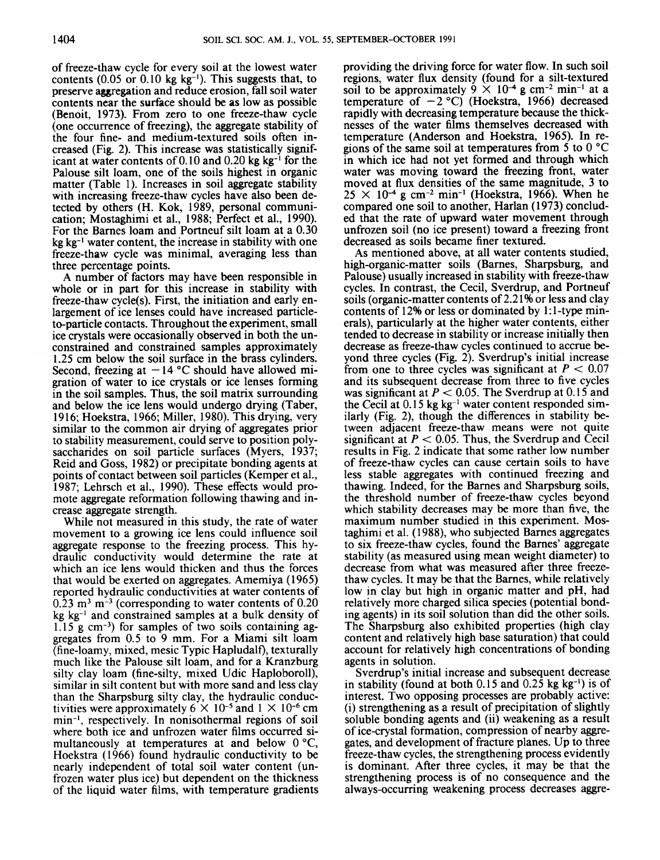of freeze-thaw cycle for every soil at the lowest water contents (0.05 or 0.10 kg  $kg^{-1}$ ). This suggests that, to preserve aggregation and reduce erosion, fall soil water contents near the surface should be as low as possible (Benoit, 1973). From zero to one freeze-thaw cycle (one occurrence of freezing), the aggregate stability of the four fine- and medium-textured soils often increased (Fig. 2). This increase was statistically significant at water contents of  $0.10$  and  $0.20$  kg kg<sup>-1</sup> for the Palouse silt loam, one of the soils highest in organic matter (Table 1). Increases in soil aggregate stability with increasing freeze-thaw cycles have also been detected by others (H. Kok, 1989, personal communication; Mostaghimi et al., 1988; Perfect et al., 1990). For the Barnes loam and Portneuf silt loam at a 0.30  $kg$  kg<sup>-1</sup> water content, the increase in stability with one freeze-thaw cycle was minimal, averaging less than three percentage points.

A number of factors may have been responsible in whole or in part for this increase in stability with freeze-thaw cycle(s). First, the initiation and early enlargement of ice lenses could have increased particleto-particle contacts. Throughout the experiment, small ice crystals were occasionally observed in both the unconstrained and constrained samples approximately 1.25 cm below the soil surface in the brass cylinders. Second, freezing at  $-14$  °C should have allowed migration of water to ice crystals or ice lenses forming in the soil samples. Thus, the soil matrix surrounding and below the ice lens would undergo drying (Taber, 1916; Hoekstra, 1966; Miller, 1980). This drying, very similar to the common air drying of aggregates prior to stability measurement, could serve to position polysaccharides on soil particle surfaces (Myers, 1937; Reid and Goss, 1982) or precipitate bonding agents at points of contact between soil particles (Kemper et al., 1987; Lehrsch et al., 1990). These effects would promote aggregate reformation following thawing and increase aggregate strength.

While not measured in this study, the rate of water movement to a growing ice lens could influence soil aggregate response to the freezing process. This hydraulic conductivity would determine the rate at which an ice lens would thicken and thus the forces that would be exerted on aggregates. Amemiya (1965) reported hydraulic conductivities at water contents of  $0.23$  m<sup>3</sup> m<sup>-3</sup> (corresponding to water contents of 0.20 kg kg-' and constrained samples at a bulk density of  $1.15$  g cm<sup>-3</sup>) for samples of two soils containing aggregates from 0.5 to 9 mm. For a Miami silt loam (fine-loamy, mixed, mesic Typic Hapludalf), texturally much like the Palouse silt loam, and for a Kranzburg silty clay loam (fine-silty, mixed Udic Haploboroll), similar in silt content but with more sand and less clay than the Sharpsburg silty clay, the hydraulic conductivities were approximately  $6 \times 10^{-5}$  and  $1 \times 10^{-6}$  cm min-', respectively. In nonisothermal regions of soil where both ice and unfrozen water films occurred simultaneously at temperatures at and below 0 °C, Hoekstra (1966) found hydraulic conductivity to be nearly independent of total soil water content (unfrozen water plus ice) but dependent on the thickness of the liquid water films, with temperature gradients providing the driving force for water flow. In such soil regions, water flux density (found for a silt-textured soil to be approximately  $9 \times 10^{-4}$  g cm<sup>-2</sup> min<sup>-1</sup> at a temperature of  $-2$  °C) (Hoekstra, 1966) decreased rapidly with decreasing temperature because the thicknesses of the water films themselves decreased with temperature (Anderson and Hoekstra, 1965). In regions of the same soil at temperatures from  $5$  to  $0^{\circ}$ C in which ice had not yet formed and through which water was moving toward the freezing front, water moved at flux densities of the same magnitude, 3 to  $25 \times 10^{-4}$  g cm<sup>-2</sup> min<sup>-1</sup> (Hoekstra, 1966). When he compared one soil to another, Harlan (1973) concluded that the rate of upward water movement through unfrozen soil (no ice present) toward a freezing front decreased as soils became finer textured.

As mentioned above, at all water contents studied, high-organic-matter soils (Barnes, Sharpsburg, and Palouse) usually increased in stability with freeze-thaw cycles. In contrast, the Cecil, Sverdrup, and Portneuf soils (organic-matter contents of 2.21% or less and clay contents of 12% or less or dominated by 1:1-type minerals), particularly at the higher water contents, either tended to decrease in stability or increase initially then decrease as freeze-thaw cycles continued to accrue beyond three cycles (Fig. 2). Sverdrup's initial increase from one to three cycles was significant at  $P < 0.07$ and its subsequent decrease from three to five cycles was significant at  $P < 0.05$ . The Sverdrup at 0.15 and the Cecil at  $0.15 \text{ kg kg}^{-1}$  water content responded similarly (Fig. 2), though the differences in stability between adjacent freeze-thaw means were not quite significant at  $P < 0.05$ . Thus, the Sverdrup and Cecil results in Fig. 2 indicate that some rather low number of freeze-thaw cycles can cause certain soils to have less stable aggregates with continued freezing and thawing. Indeed, for the Barnes and Sharpsburg soils, the threshold number of freeze-thaw cycles beyond which stability decreases may be more than five, the maximum number studied in this experiment. Mostaghimi et al. (1988), who subjected Barnes aggregates to six freeze-thaw cycles, found the Barnes' aggregate stability (as measured using mean weight diameter) to decrease from what was measured after three freezethaw cycles. It may be that the Barnes, while relatively low in clay but high in organic matter and pH, had relatively more charged silica species (potential bonding agents) in its soil solution than did the other soils. The Sharpsburg also exhibited properties (high clay content and relatively high base saturation) that could account for relatively high concentrations of bonding agents in solution.

Sverdrup's initial increase and subsequent decrease in stability (found at both  $0.15$  and  $0.25$  kg kg<sup>-1</sup>) is of interest. Two opposing processes are probably active: (i) strengthening as a result of precipitation of slightly soluble bonding agents and (ii) weakening as a result of ice-crystal formation, compression of nearby aggregates, and development of fracture planes. Up to three freeze-thaw cycles, the strengthening process evidently is dominant. After three cycles, it may be that the strengthening process is of no consequence and the always-occurring weakening process decreases aggre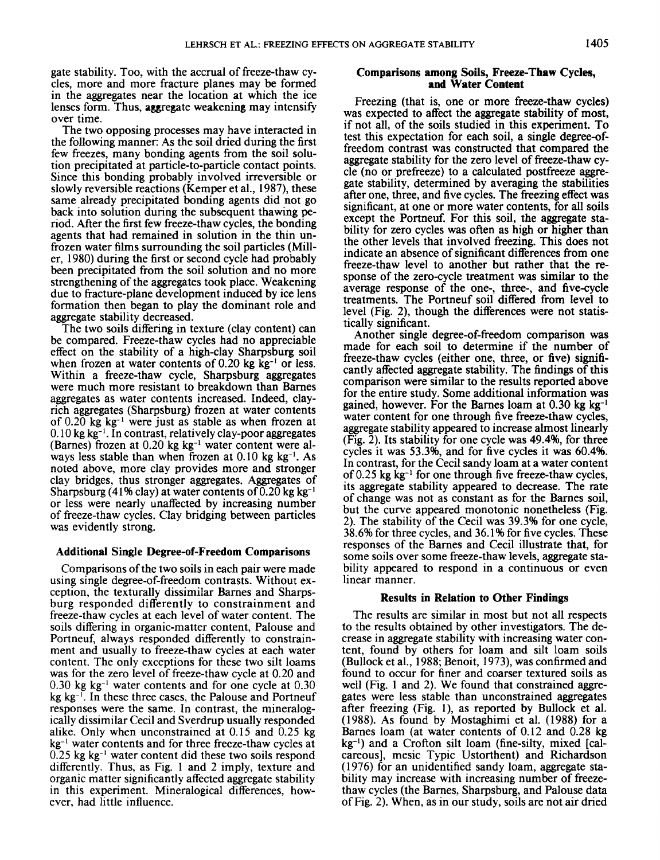gate stability. Too, with the accrual of freeze-thaw cycles, more and more fracture planes may be formed in the aggregates near the location at which the ice lenses form. Thus, aggregate weakening may intensify over time.

The two opposing processes may have interacted in the following manner: As the soil dried during the first few freezes, many bonding agents from the soil solution precipitated at particle-to-particle contact points. Since this bonding probably involved irreversible or slowly reversible reactions (Kemper et al., 1987), these same already precipitated bonding agents did not go back into solution during the subsequent thawing period. After the first few freeze-thaw cycles, the bonding agents that had remained in solution in the thin unfrozen water films surrounding the soil particles (Miller, 1980) during the first or second cycle had probably been precipitated from the soil solution and no more strengthening of the aggregates took place. Weakening due to fracture-plane development induced by ice lens formation then began to play the dominant role and aggregate stability decreased.

The two soils differing in texture (clay content) can be compared. Freeze-thaw cycles had no appreciable effect on the stability of a high-clay Sharpsburg soil when frozen at water contents of  $0.20 \text{ kg kg}^{-1}$  or less. Within a freeze-thaw cycle, Sharpsburg aggregates were much more resistant to breakdown than Barnes aggregates as water contents increased. Indeed, clayrich aggregates (Sharpsburg) frozen at water contents of 0.20 kg kg-' were just as stable as when frozen at 0.10 kg kg-'. In contrast, relatively clay-poor aggregates (Barnes) frozen at 0.20 kg kg-' water content were always less stable than when frozen at  $0.10$  kg kg<sup>-1</sup>. As noted above, more clay provides more and stronger clay bridges, thus stronger aggregates. Aggregates of Sharpsburg (41% clay) at water contents of 0.20 kg kg-' or less were nearly unaffected by increasing number of freeze-thaw cycles. Clay bridging between particles was evidently strong.

### **Additional Single Degree-of-Freedom Comparisons**

Comparisons of the two soils in each pair were made using single degree-of-freedom contrasts. Without exception, the texturally dissimilar Barnes and Sharpsburg responded differently to constrainment and freeze-thaw cycles at each level of water content. The soils differing in organic-matter content, Palouse and Portneuf, always responded differently to constrainment and usually to freeze-thaw cycles at each water content. The only exceptions for these two silt loams was for the zero level of freeze-thaw cycle at 0.20 and 0.30 kg kg-' water contents and for one cycle at 0.30 kg kg-'. In these three cases, the Palouse and Portneuf responses were the same. In contrast, the mineralogically dissimilar Cecil and Sverdrup usually responded alike. Only when unconstrained at 0.15 and 0.25 kg kg-' water contents and for three freeze-thaw cycles at 0.25 kg kg-' water content did these two soils respond differently. Thus, as Fig. 1 and 2 imply, texture and organic matter significantly affected aggregate stability in this experiment. Mineralogical differences, however, had little influence.

## **Comparisons among Soils, Freeze-Thaw Cycles, and Water Content**

Freezing (that is, one or more freeze-thaw cycles) was expected to affect the aggregate stability of most, if not all, of the soils studied in this experiment. To test this expectation for each soil, a single degree-offreedom contrast was constructed that compared the aggregate stability for the zero level of freeze-thaw cycle (no or prefreeze) to a calculated postfreeze aggregate stability, determined by averaging the stabilities after one, three, and five cycles. The freezing effect was significant, at one or more water contents, for all soils except the Portneuf. For this soil, the aggregate stability for zero cycles was often as high or higher than the other levels that involved freezing. This does not indicate an absence of significant differences from one freeze-thaw level to another but rather that the response of the zero-cycle treatment was similar to the average response of the one-, three-, and five-cycle treatments. The Portneuf soil differed from level to level (Fig. 2), though the differences were not statistically significant.

Another single degree-of-freedom comparison was made for each soil to determine if the number of freeze-thaw cycles (either one, three, or five) significantly affected aggregate stability. The findings of this comparison were similar to the results reported above for the entire study. Some additional information was gained, however. For the Barnes loam at 0.30 kg kg-' water content for one through five freeze-thaw cycles, aggregate stability appeared to increase almost linearly (Fig. 2). Its stability for one cycle was 49.4%, for three cycles it was 53.3%, and for five cycles it was 60.4%. In contrast, for the Cecil sandy loam at a water content of  $0.25$  kg kg<sup>-1</sup> for one through five freeze-thaw cycles, its aggregate stability appeared to decrease. The rate of change was not as constant as for the Barnes soil, but the curve appeared monotonic nonetheless (Fig. 2). The stability of the Cecil was 39.3% for one cycle, 38.6% for three cycles, and 36.1% for five cycles. These responses of the Barnes and Cecil illustrate that, for some soils over some freeze-thaw levels, aggregate stability appeared to respond in a continuous or even linear manner.

## **Results in Relation to Other Findings**

The results are similar in most but not all respects to the results obtained by other investigators. The decrease in aggregate stability with increasing water content, found by others for loam and silt loam soils (Bullock et al., 1988; Benoit, 1973), was confirmed and found to occur for finer and coarser textured soils as well (Fig. 1 and 2). We found that constrained aggregates were less stable than unconstrained aggregates after freezing (Fig. 1), as reported by Bullock et al. (1988). As found by Mostaghimi et al. (1988) for a Barnes loam (at water contents of 0.12 and 0.28 kg  $kg^{-1}$ ) and a Crofton silt loam (fine-silty, mixed [calcareous], mesic Typic Ustorthent) and Richardson (1976) for an unidentified sandy loam, aggregate stability may increase with increasing number of freezethaw cycles (the Barnes, Sharpsburg, and Palouse data of Fig. 2). When, as in our study, soils are not air dried